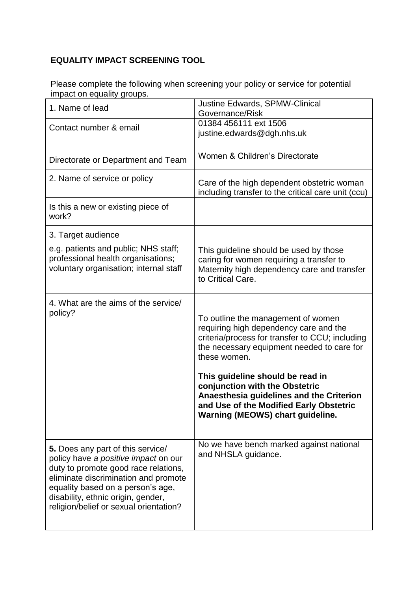## **EQUALITY IMPACT SCREENING TOOL**

Please complete the following when screening your policy or service for potential impact on equality groups.

| 1. Name of lead                                                                                                                                                                                                                                                                | <b>Justine Edwards, SPMW-Clinical</b><br>Governance/Risk                                                                                                                                                                                                                                                                                                                                       |
|--------------------------------------------------------------------------------------------------------------------------------------------------------------------------------------------------------------------------------------------------------------------------------|------------------------------------------------------------------------------------------------------------------------------------------------------------------------------------------------------------------------------------------------------------------------------------------------------------------------------------------------------------------------------------------------|
| Contact number & email                                                                                                                                                                                                                                                         | 01384 456111 ext 1506<br>justine.edwards@dgh.nhs.uk                                                                                                                                                                                                                                                                                                                                            |
| Directorate or Department and Team                                                                                                                                                                                                                                             | Women & Children's Directorate                                                                                                                                                                                                                                                                                                                                                                 |
| 2. Name of service or policy                                                                                                                                                                                                                                                   | Care of the high dependent obstetric woman<br>including transfer to the critical care unit (ccu)                                                                                                                                                                                                                                                                                               |
| Is this a new or existing piece of<br>work?                                                                                                                                                                                                                                    |                                                                                                                                                                                                                                                                                                                                                                                                |
| 3. Target audience                                                                                                                                                                                                                                                             |                                                                                                                                                                                                                                                                                                                                                                                                |
| e.g. patients and public; NHS staff;<br>professional health organisations;<br>voluntary organisation; internal staff                                                                                                                                                           | This guideline should be used by those<br>caring for women requiring a transfer to<br>Maternity high dependency care and transfer<br>to Critical Care.                                                                                                                                                                                                                                         |
| 4. What are the aims of the service/<br>policy?                                                                                                                                                                                                                                | To outline the management of women<br>requiring high dependency care and the<br>criteria/process for transfer to CCU; including<br>the necessary equipment needed to care for<br>these women.<br>This guideline should be read in<br>conjunction with the Obstetric<br>Anaesthesia guidelines and the Criterion<br>and Use of the Modified Early Obstetric<br>Warning (MEOWS) chart guideline. |
| 5. Does any part of this service/<br>policy have a positive impact on our<br>duty to promote good race relations,<br>eliminate discrimination and promote<br>equality based on a person's age,<br>disability, ethnic origin, gender,<br>religion/belief or sexual orientation? | No we have bench marked against national<br>and NHSLA guidance.                                                                                                                                                                                                                                                                                                                                |